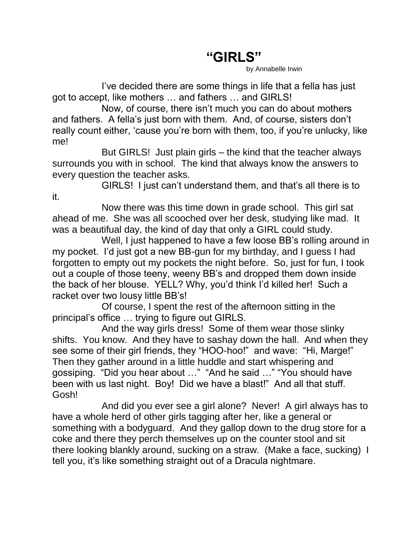## **"GIRLS"**

by Annabelle Irwin

I've decided there are some things in life that a fella has just got to accept, like mothers … and fathers … and GIRLS!

Now, of course, there isn't much you can do about mothers and fathers. A fella's just born with them. And, of course, sisters don't really count either, 'cause you're born with them, too, if you're unlucky, like me!

But GIRLS! Just plain girls – the kind that the teacher always surrounds you with in school. The kind that always know the answers to every question the teacher asks.

GIRLS! I just can't understand them, and that's all there is to it.

Now there was this time down in grade school. This girl sat ahead of me. She was all scooched over her desk, studying like mad. It was a beautifual day, the kind of day that only a GIRL could study.

Well, I just happened to have a few loose BB's rolling around in my pocket. I'd just got a new BB-gun for my birthday, and I guess I had forgotten to empty out my pockets the night before. So, just for fun, I took out a couple of those teeny, weeny BB's and dropped them down inside the back of her blouse. YELL? Why, you'd think I'd killed her! Such a racket over two lousy little BB's!

Of course, I spent the rest of the afternoon sitting in the principal's office … trying to figure out GIRLS.

And the way girls dress! Some of them wear those slinky shifts. You know. And they have to sashay down the hall. And when they see some of their girl friends, they "HOO-hoo!" and wave: "Hi, Marge!" Then they gather around in a little huddle and start whispering and gossiping. "Did you hear about …" "And he said …" "You should have been with us last night. Boy! Did we have a blast!" And all that stuff. Gosh!

And did you ever see a girl alone? Never! A girl always has to have a whole herd of other girls tagging after her, like a general or something with a bodyguard. And they gallop down to the drug store for a coke and there they perch themselves up on the counter stool and sit there looking blankly around, sucking on a straw. (Make a face, sucking) I tell you, it's like something straight out of a Dracula nightmare.